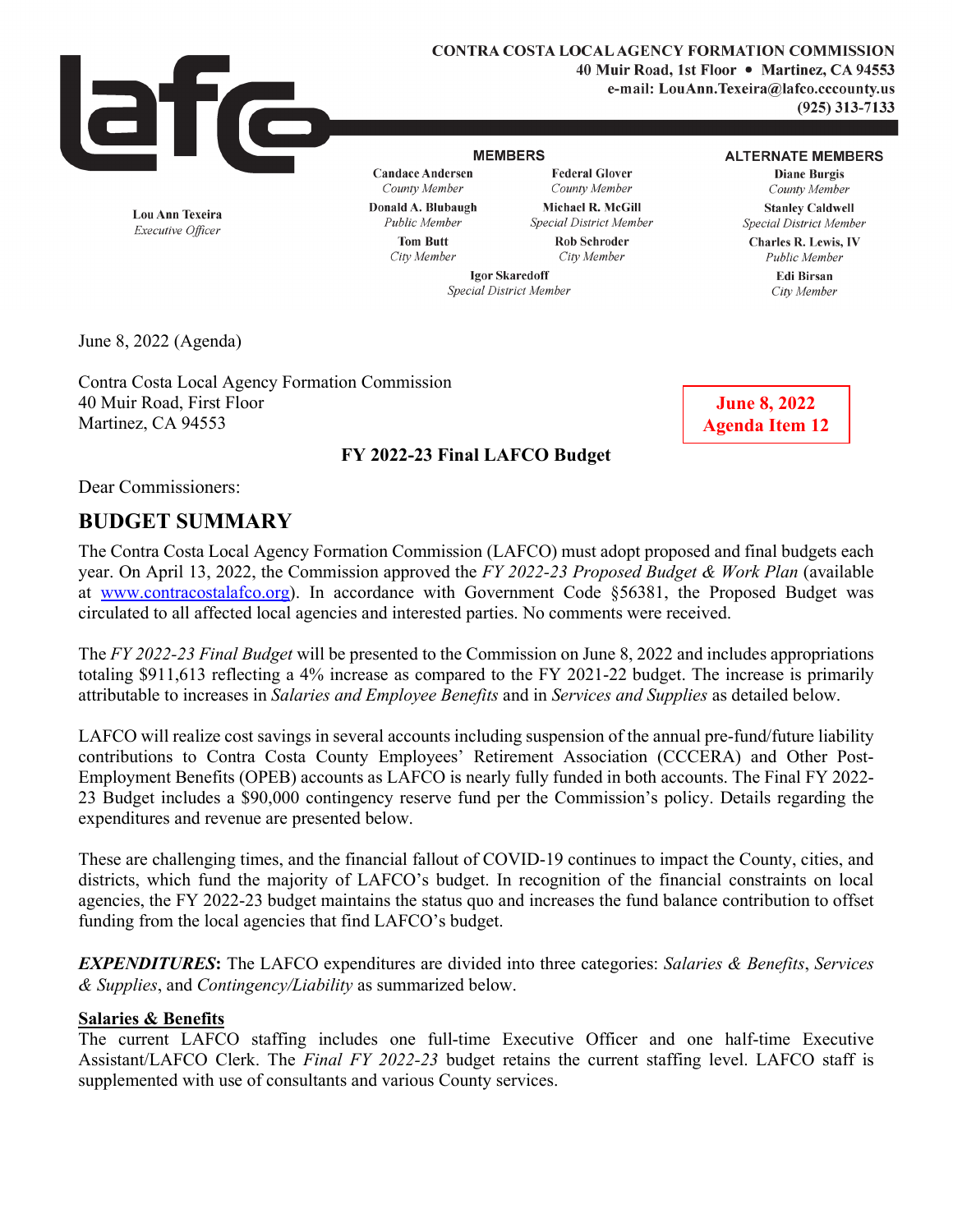

**CONTRA COSTA LOCAL AGENCY FORMATION COMMISSION 40 Muir Road, 1st Floor** • **Martinez, CA 94553 e-mail: LouAnn.Texeira@lafco.cccounty.us (925) 313-7133** 

#### **MEMBERS**

**Candace Andersen**  *County Member* 

**Federal Glover**  *County Member*  **Michael R. McGill**  *Special District Member*  **Rob Schroder** 

#### **ALTERNATE MEMBERS**

**Diane Burgis**  *County Member*  **Stanley Caldwell**  *Special District Member*  **Charles R. Lewis,** IV

*City Member* 

*Public Member*  **Edi Birsan**  *City Member* 

**Lou Ann Texeira**  *Executive Officer* 

*Public Member*  **Tom Butt**  *City Member* 

**Donald A. Blubaugh** 

**Igor Skaredoff**  *Special District Member* 

June 8, 2022 (Agenda)

Contra Costa Local Agency Formation Commission 40 Muir Road, First Floor Martinez, CA 94553

**June 8, 2022 Agenda Item 12**

## **FY 2022-23 Final LAFCO Budget**

Dear Commissioners:

# **BUDGET SUMMARY**

The Contra Costa Local Agency Formation Commission (LAFCO) must adopt proposed and final budgets each year. On April 13, 2022, the Commission approved the *FY 2022-23 Proposed Budget & Work Plan* (available at [www.contracostalafco.org\)](http://www.contracostalafco.org/). In accordance with Government Code §56381, the Proposed Budget was circulated to all affected local agencies and interested parties. No comments were received.

The *FY 2022-23 Final Budget* will be presented to the Commission on June 8, 2022 and includes appropriations totaling \$911,613 reflecting a 4% increase as compared to the FY 2021-22 budget. The increase is primarily attributable to increases in *Salaries and Employee Benefits* and in *Services and Supplies* as detailed below.

LAFCO will realize cost savings in several accounts including suspension of the annual pre-fund/future liability contributions to Contra Costa County Employees' Retirement Association (CCCERA) and Other Post-Employment Benefits (OPEB) accounts as LAFCO is nearly fully funded in both accounts. The Final FY 2022- 23 Budget includes a \$90,000 contingency reserve fund per the Commission's policy. Details regarding the expenditures and revenue are presented below.

These are challenging times, and the financial fallout of COVID-19 continues to impact the County, cities, and districts, which fund the majority of LAFCO's budget. In recognition of the financial constraints on local agencies, the FY 2022-23 budget maintains the status quo and increases the fund balance contribution to offset funding from the local agencies that find LAFCO's budget.

*EXPENDITURES***:** The LAFCO expenditures are divided into three categories: *Salaries & Benefits*, *Services & Supplies*, and *Contingency/Liability* as summarized below.

## **Salaries & Benefits**

The current LAFCO staffing includes one full-time Executive Officer and one half-time Executive Assistant/LAFCO Clerk. The *Final FY 2022-23* budget retains the current staffing level. LAFCO staff is supplemented with use of consultants and various County services.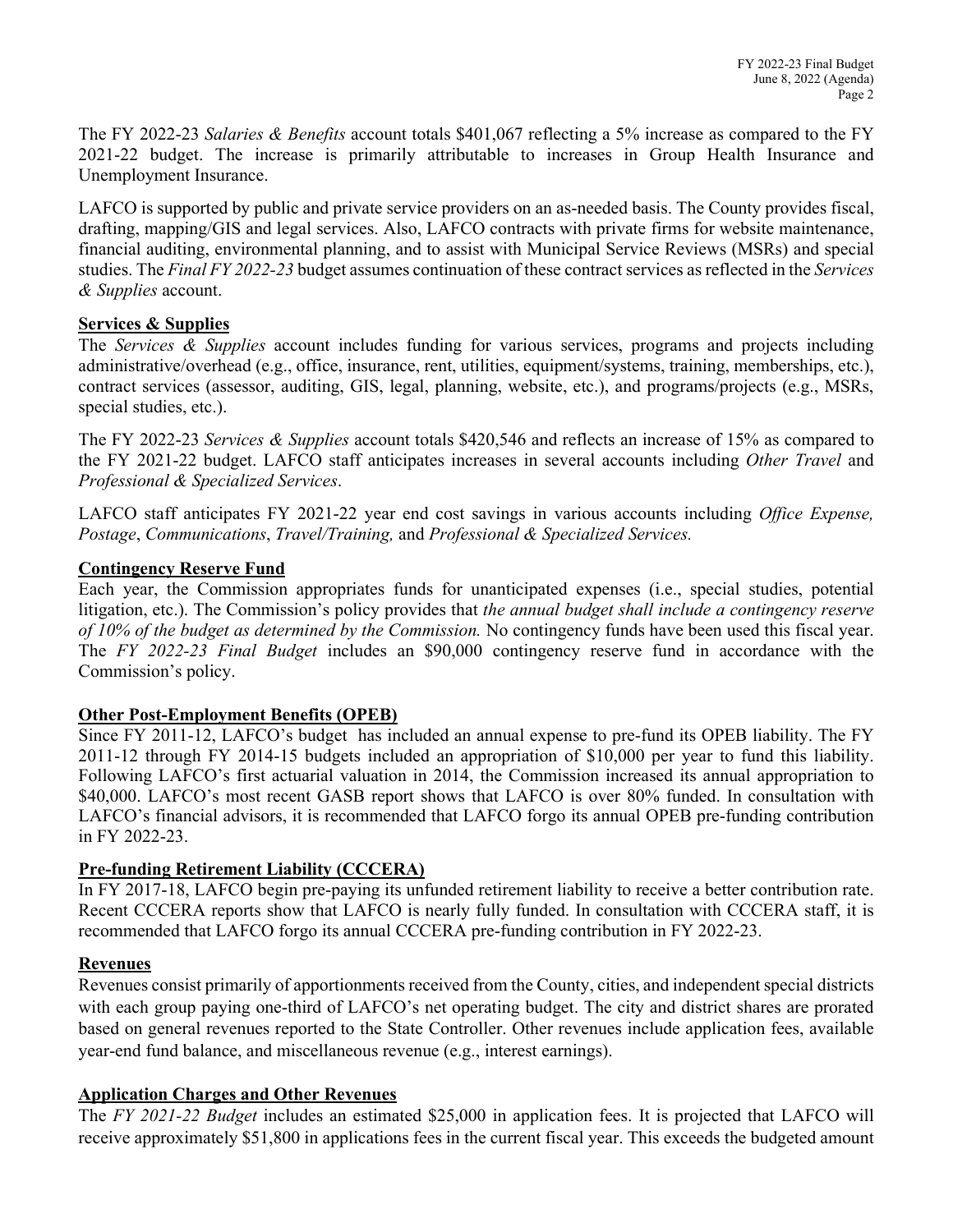The FY 2022-23 *Salaries & Benefits* account totals \$401,067 reflecting a 5% increase as compared to the FY 2021-22 budget. The increase is primarily attributable to increases in Group Health Insurance and Unemployment Insurance.

LAFCO is supported by public and private service providers on an as-needed basis. The County provides fiscal, drafting, mapping/GIS and legal services. Also, LAFCO contracts with private firms for website maintenance, financial auditing, environmental planning, and to assist with Municipal Service Reviews (MSRs) and special studies. The *Final FY 2022-23* budget assumes continuation of these contract services as reflected in the *Services & Supplies* account.

## **Services & Supplies**

The *Services & Supplies* account includes funding for various services, programs and projects including administrative/overhead (e.g., office, insurance, rent, utilities, equipment/systems, training, memberships, etc.), contract services (assessor, auditing, GIS, legal, planning, website, etc.), and programs/projects (e.g., MSRs, special studies, etc.).

The FY 2022-23 *Services & Supplies* account totals \$420,546 and reflects an increase of 15% as compared to the FY 2021-22 budget. LAFCO staff anticipates increases in several accounts including *Other Travel* and *Professional & Specialized Services*.

LAFCO staff anticipates FY 2021-22 year end cost savings in various accounts including *Office Expense, Postage*, *Communications*, *Travel/Training,* and *Professional & Specialized Services.*

## **Contingency Reserve Fund**

Each year, the Commission appropriates funds for unanticipated expenses (i.e., special studies, potential litigation, etc.). The Commission's policy provides that *the annual budget shall include a contingency reserve of 10% of the budget as determined by the Commission.* No contingency funds have been used this fiscal year. The *FY 2022-23 Final Budget* includes an \$90,000 contingency reserve fund in accordance with the Commission's policy.

## **Other Post-Employment Benefits (OPEB)**

Since FY 2011-12, LAFCO's budget has included an annual expense to pre-fund its OPEB liability. The FY 2011-12 through FY 2014-15 budgets included an appropriation of \$10,000 per year to fund this liability. Following LAFCO's first actuarial valuation in 2014, the Commission increased its annual appropriation to \$40,000. LAFCO's most recent GASB report shows that LAFCO is over 80% funded. In consultation with LAFCO's financial advisors, it is recommended that LAFCO forgo its annual OPEB pre-funding contribution in FY 2022-23.

## **Pre-funding Retirement Liability (CCCERA)**

In FY 2017-18, LAFCO begin pre-paying its unfunded retirement liability to receive a better contribution rate. Recent CCCERA reports show that LAFCO is nearly fully funded. In consultation with CCCERA staff, it is recommended that LAFCO forgo its annual CCCERA pre-funding contribution in FY 2022-23.

## **Revenues**

Revenues consist primarily of apportionments received from the County, cities, and independent special districts with each group paying one-third of LAFCO's net operating budget. The city and district shares are prorated based on general revenues reported to the State Controller. Other revenues include application fees, available year-end fund balance, and miscellaneous revenue (e.g., interest earnings).

## **Application Charges and Other Revenues**

The *FY 2021-22 Budget* includes an estimated \$25,000 in application fees. It is projected that LAFCO will receive approximately \$51,800 in applications fees in the current fiscal year. This exceeds the budgeted amount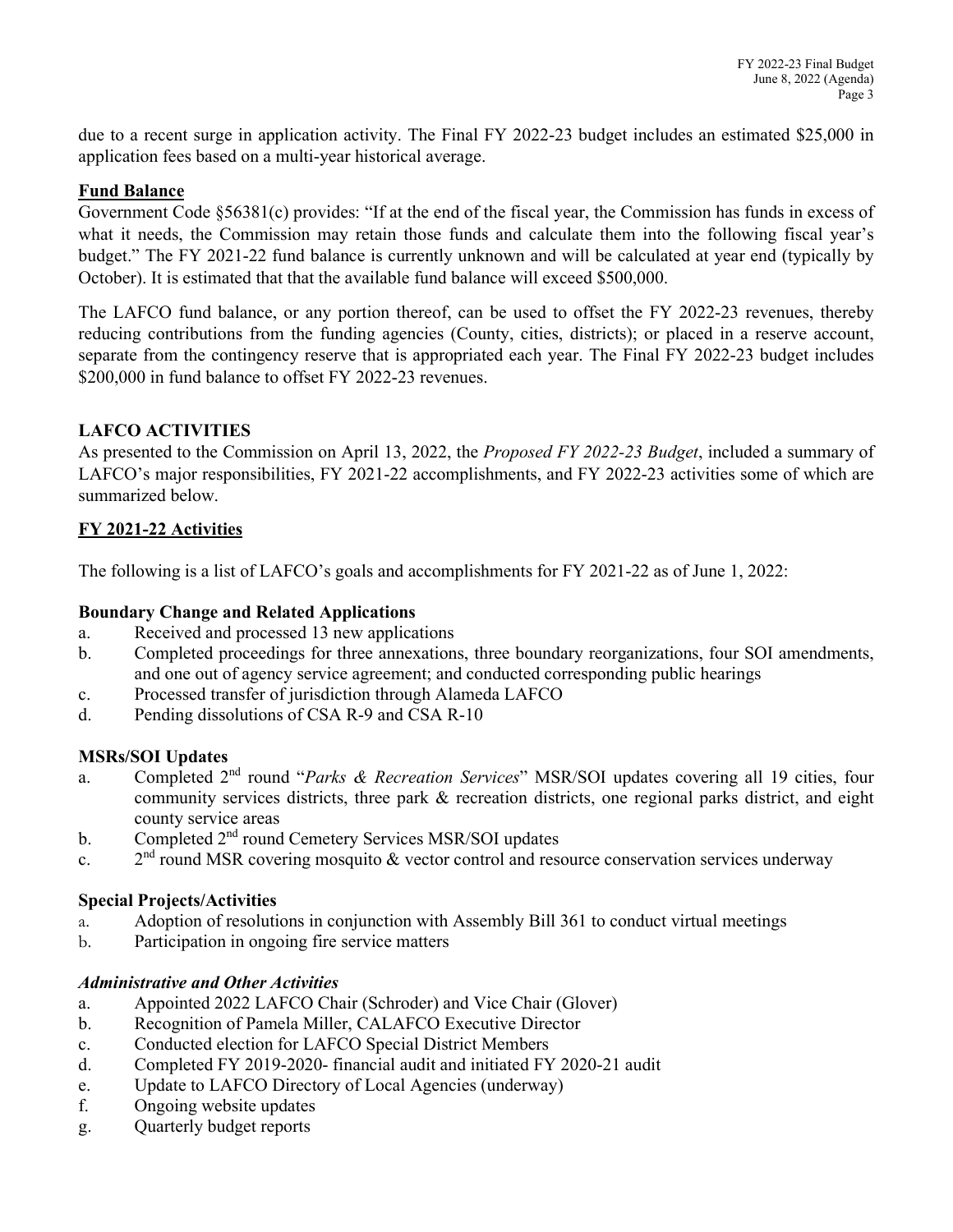due to a recent surge in application activity. The Final FY 2022-23 budget includes an estimated \$25,000 in application fees based on a multi-year historical average.

## **Fund Balance**

Government Code §56381(c) provides: "If at the end of the fiscal year, the Commission has funds in excess of what it needs, the Commission may retain those funds and calculate them into the following fiscal year's budget." The FY 2021-22 fund balance is currently unknown and will be calculated at year end (typically by October). It is estimated that that the available fund balance will exceed \$500,000.

The LAFCO fund balance, or any portion thereof, can be used to offset the FY 2022-23 revenues, thereby reducing contributions from the funding agencies (County, cities, districts); or placed in a reserve account, separate from the contingency reserve that is appropriated each year. The Final FY 2022-23 budget includes \$200,000 in fund balance to offset FY 2022-23 revenues.

## **LAFCO ACTIVITIES**

As presented to the Commission on April 13, 2022, the *Proposed FY 2022-23 Budget*, included a summary of LAFCO's major responsibilities, FY 2021-22 accomplishments, and FY 2022-23 activities some of which are summarized below.

## **FY 2021-22 Activities**

The following is a list of LAFCO's goals and accomplishments for FY 2021-22 as of June 1, 2022:

## **Boundary Change and Related Applications**

- a. Received and processed 13 new applications
- b. Completed proceedings for three annexations, three boundary reorganizations, four SOI amendments, and one out of agency service agreement; and conducted corresponding public hearings
- c. Processed transfer of jurisdiction through Alameda LAFCO
- d. Pending dissolutions of CSA R-9 and CSA R-10

## **MSRs/SOI Updates**

- a. Completed 2nd round "*Parks & Recreation Services*" MSR/SOI updates covering all 19 cities, four community services districts, three park & recreation districts, one regional parks district, and eight county service areas
- b. Completed 2<sup>nd</sup> round Cemetery Services MSR/SOI updates
- c.  $2<sup>nd</sup>$  round MSR covering mosquito & vector control and resource conservation services underway

## **Special Projects/Activities**

- a. Adoption of resolutions in conjunction with Assembly Bill 361 to conduct virtual meetings
- b. Participation in ongoing fire service matters

## *Administrative and Other Activities*

- a. Appointed 2022 LAFCO Chair (Schroder) and Vice Chair (Glover)
- b. Recognition of Pamela Miller, CALAFCO Executive Director
- c. Conducted election for LAFCO Special District Members
- d. Completed FY 2019-2020- financial audit and initiated FY 2020-21 audit
- e. Update to LAFCO Directory of Local Agencies (underway)
- f. Ongoing website updates
- g. Quarterly budget reports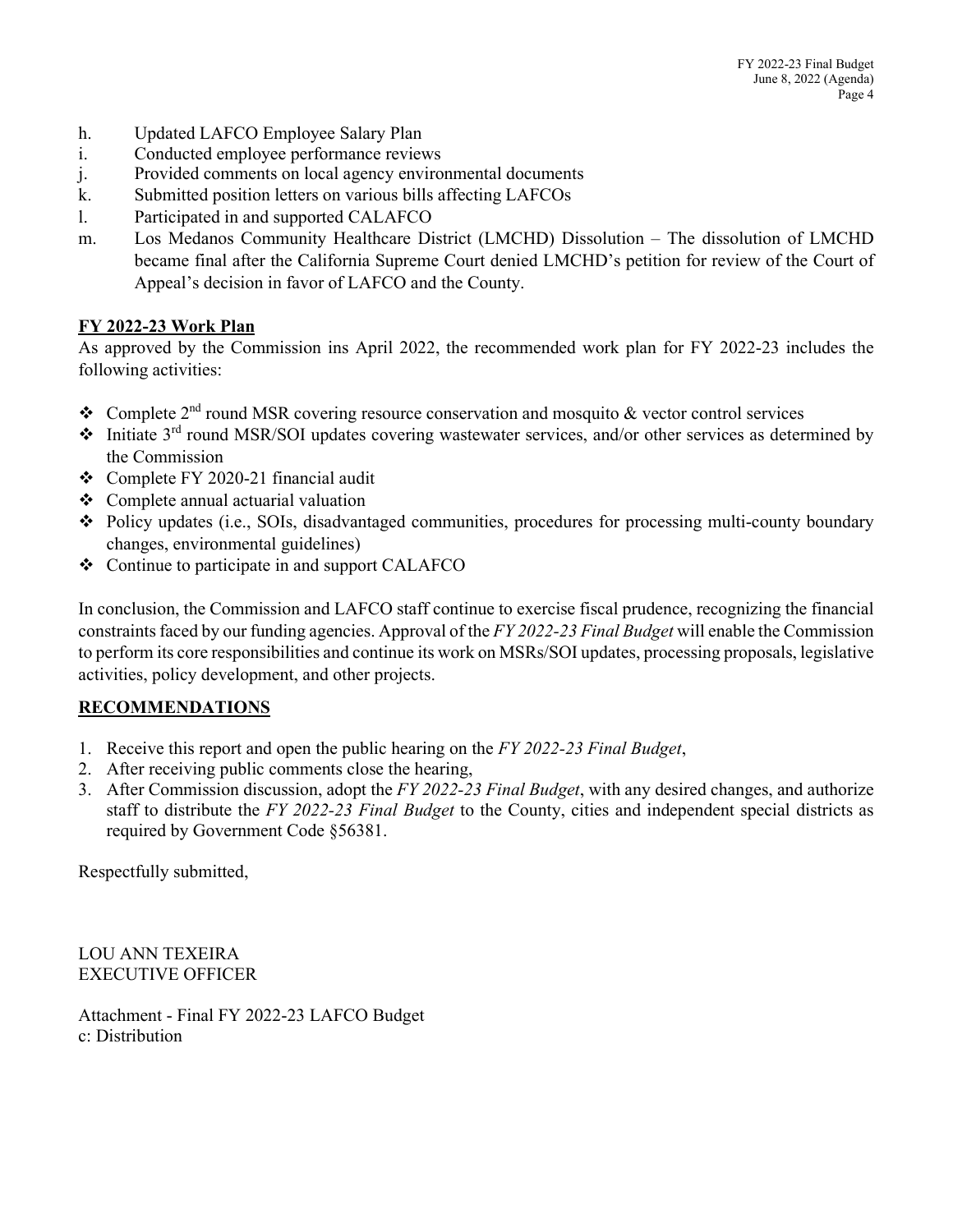- h. Updated LAFCO Employee Salary Plan
- i. Conducted employee performance reviews
- j. Provided comments on local agency environmental documents
- k. Submitted position letters on various bills affecting LAFCOs
- l. Participated in and supported CALAFCO
- m. Los Medanos Community Healthcare District (LMCHD) Dissolution The dissolution of LMCHD became final after the California Supreme Court denied LMCHD's petition for review of the Court of Appeal's decision in favor of LAFCO and the County.

## **FY 2022-23 Work Plan**

As approved by the Commission ins April 2022, the recommended work plan for FY 2022-23 includes the following activities:

- Complete  $2<sup>nd</sup>$  round MSR covering resource conservation and mosquito & vector control services
- $\cdot$  Initiate 3<sup>rd</sup> round MSR/SOI updates covering wastewater services, and/or other services as determined by the Commission
- Complete FY 2020-21 financial audit
- Complete annual actuarial valuation
- Policy updates (i.e., SOIs, disadvantaged communities, procedures for processing multi-county boundary changes, environmental guidelines)
- $\div$  Continue to participate in and support CALAFCO

In conclusion, the Commission and LAFCO staff continue to exercise fiscal prudence, recognizing the financial constraints faced by our funding agencies. Approval of the *FY 2022-23 Final Budget* will enable the Commission to perform its core responsibilities and continue its work on MSRs/SOI updates, processing proposals, legislative activities, policy development, and other projects.

## **RECOMMENDATIONS**

- 1. Receive this report and open the public hearing on the *FY 2022-23 Final Budget*,
- 2. After receiving public comments close the hearing,
- 3. After Commission discussion, adopt the *FY 2022-23 Final Budget*, with any desired changes, and authorize staff to distribute the *FY 2022-23 Final Budget* to the County, cities and independent special districts as required by Government Code §56381.

Respectfully submitted,

LOU ANN TEXEIRA EXECUTIVE OFFICER

Attachment - Final FY 2022-23 LAFCO Budget c: Distribution